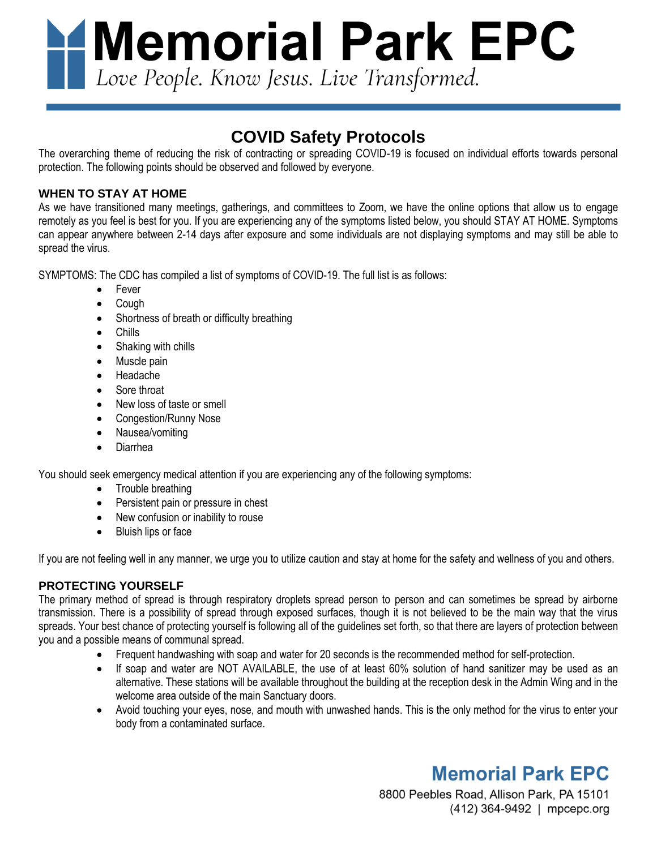**Memorial Park EPC**<br>Love People. Know Jesus. Live Transformed.

# **COVID Safety Protocols**

The overarching theme of reducing the risk of contracting or spreading COVID-19 is focused on individual efforts towards personal protection. The following points should be observed and followed by everyone.

## **WHEN TO STAY AT HOME**

As we have transitioned many meetings, gatherings, and committees to Zoom, we have the online options that allow us to engage remotely as you feel is best for you. If you are experiencing any of the symptoms listed below, you should STAY AT HOME. Symptoms can appear anywhere between 2-14 days after exposure and some individuals are not displaying symptoms and may still be able to spread the virus.

SYMPTOMS: The CDC has compiled a list of symptoms of COVID-19. The full list is as follows:

- Fever
- Cough
- Shortness of breath or difficulty breathing
- Chills
- Shaking with chills
- Muscle pain
- Headache
- Sore throat
- New loss of taste or smell
- Congestion/Runny Nose
- Nausea/vomiting
- Diarrhea

You should seek emergency medical attention if you are experiencing any of the following symptoms:

- Trouble breathing
- Persistent pain or pressure in chest
- New confusion or inability to rouse
- Bluish lips or face

If you are not feeling well in any manner, we urge you to utilize caution and stay at home for the safety and wellness of you and others.

### **PROTECTING YOURSELF**

The primary method of spread is through respiratory droplets spread person to person and can sometimes be spread by airborne transmission. There is a possibility of spread through exposed surfaces, though it is not believed to be the main way that the virus spreads. Your best chance of protecting yourself is following all of the guidelines set forth, so that there are layers of protection between you and a possible means of communal spread.

- Frequent handwashing with soap and water for 20 seconds is the recommended method for self-protection.
- If soap and water are NOT AVAILABLE, the use of at least 60% solution of hand sanitizer may be used as an alternative. These stations will be available throughout the building at the reception desk in the Admin Wing and in the welcome area outside of the main Sanctuary doors.
- Avoid touching your eyes, nose, and mouth with unwashed hands. This is the only method for the virus to enter your body from a contaminated surface.

# **Memorial Park EPC**